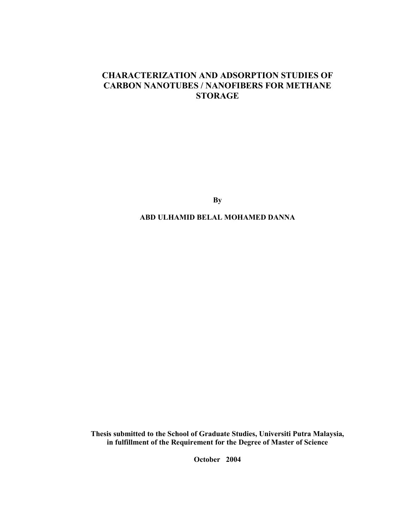# CHARACTERIZATION AND ADSORPTION STUDIES OF CARBON NANOTUBES / NANOFIBERS FOR METHANE **STORAGE**

**By** 

ABD ULHAMID BELAL MOHAMED DANNA

Thesis submitted to the School of Graduate Studies, Universiti Putra Malaysia, in fulfillment of the Requirement for the Degree of Master of Science

October 2004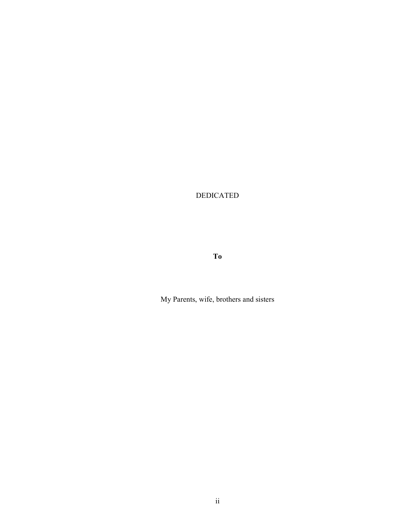DEDICATED

To

My Parents, wife, brothers and sisters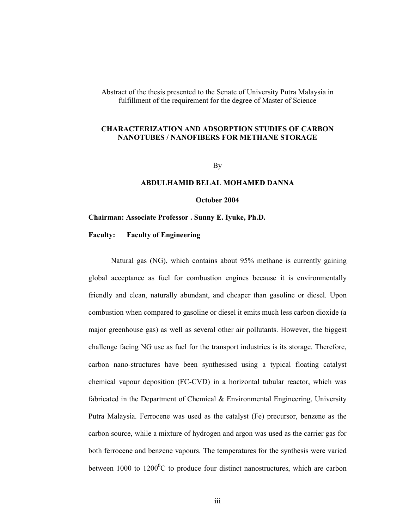Abstract of the thesis presented to the Senate of University Putra Malaysia in fulfillment of the requirement for the degree of Master of Science

## CHARACTERIZATION AND ADSORPTION STUDIES OF CARBON NANOTUBES / NANOFIBERS FOR METHANE STORAGE

By

### ABDULHAMID BELAL MOHAMED DANNA

October 2004

#### Chairman: Associate Professor . Sunny E. Iyuke, Ph.D.

Faculty: Faculty of Engineering

 Natural gas (NG), which contains about 95% methane is currently gaining global acceptance as fuel for combustion engines because it is environmentally friendly and clean, naturally abundant, and cheaper than gasoline or diesel. Upon combustion when compared to gasoline or diesel it emits much less carbon dioxide (a major greenhouse gas) as well as several other air pollutants. However, the biggest challenge facing NG use as fuel for the transport industries is its storage. Therefore, carbon nano-structures have been synthesised using a typical floating catalyst chemical vapour deposition (FC-CVD) in a horizontal tubular reactor, which was fabricated in the Department of Chemical & Environmental Engineering, University Putra Malaysia. Ferrocene was used as the catalyst (Fe) precursor, benzene as the carbon source, while a mixture of hydrogen and argon was used as the carrier gas for both ferrocene and benzene vapours. The temperatures for the synthesis were varied between 1000 to 1200 $\mathrm{^0C}$  to produce four distinct nanostructures, which are carbon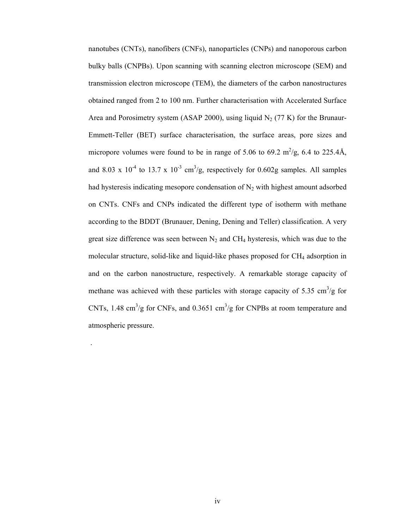nanotubes (CNTs), nanofibers (CNFs), nanoparticles (CNPs) and nanoporous carbon bulky balls (CNPBs). Upon scanning with scanning electron microscope (SEM) and transmission electron microscope (TEM), the diameters of the carbon nanostructures obtained ranged from 2 to 100 nm. Further characterisation with Accelerated Surface Area and Porosimetry system (ASAP 2000), using liquid  $N_2$  (77 K) for the Brunaur-Emmett-Teller (BET) surface characterisation, the surface areas, pore sizes and micropore volumes were found to be in range of 5.06 to 69.2  $\text{m}^2/\text{g}$ , 6.4 to 225.4Å, and 8.03 x  $10^{-4}$  to 13.7 x  $10^{-3}$  cm<sup>3</sup>/g, respectively for 0.602g samples. All samples had hysteresis indicating mesopore condensation of  $N_2$  with highest amount adsorbed on CNTs. CNFs and CNPs indicated the different type of isotherm with methane according to the BDDT (Brunauer, Dening, Dening and Teller) classification. A very great size difference was seen between  $N_2$  and CH<sub>4</sub> hysteresis, which was due to the molecular structure, solid-like and liquid-like phases proposed for  $CH_4$  adsorption in and on the carbon nanostructure, respectively. A remarkable storage capacity of methane was achieved with these particles with storage capacity of 5.35  $\text{cm}^3/\text{g}$  for CNTs, 1.48 cm<sup>3</sup>/g for CNFs, and 0.3651 cm<sup>3</sup>/g for CNPBs at room temperature and atmospheric pressure.

.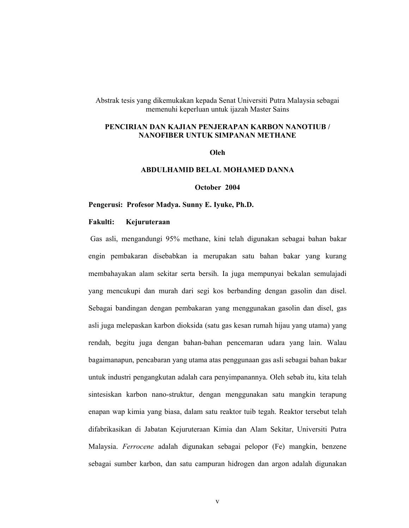Abstrak tesis yang dikemukakan kepada Senat Universiti Putra Malaysia sebagai memenuhi keperluan untuk ijazah Master Sains

## PENCIRIAN DAN KAJIAN PENJERAPAN KARBON NANOTIUB / NANOFIBER UNTUK SIMPANAN METHANE

Oleh

#### ABDULHAMID BELAL MOHAMED DANNA

October 2004

#### Pengerusi: Profesor Madya. Sunny E. Iyuke, Ph.D.

#### Fakulti: Kejuruteraan

 Gas asli, mengandungi 95% methane, kini telah digunakan sebagai bahan bakar engin pembakaran disebabkan ia merupakan satu bahan bakar yang kurang membahayakan alam sekitar serta bersih. Ia juga mempunyai bekalan semulajadi yang mencukupi dan murah dari segi kos berbanding dengan gasolin dan disel. Sebagai bandingan dengan pembakaran yang menggunakan gasolin dan disel, gas asli juga melepaskan karbon dioksida (satu gas kesan rumah hijau yang utama) yang rendah, begitu juga dengan bahan-bahan pencemaran udara yang lain. Walau bagaimanapun, pencabaran yang utama atas penggunaan gas asli sebagai bahan bakar untuk industri pengangkutan adalah cara penyimpanannya. Oleh sebab itu, kita telah sintesiskan karbon nano-struktur, dengan menggunakan satu mangkin terapung enapan wap kimia yang biasa, dalam satu reaktor tuib tegah. Reaktor tersebut telah difabrikasikan di Jabatan Kejuruteraan Kimia dan Alam Sekitar, Universiti Putra Malaysia. Ferrocene adalah digunakan sebagai pelopor (Fe) mangkin, benzene sebagai sumber karbon, dan satu campuran hidrogen dan argon adalah digunakan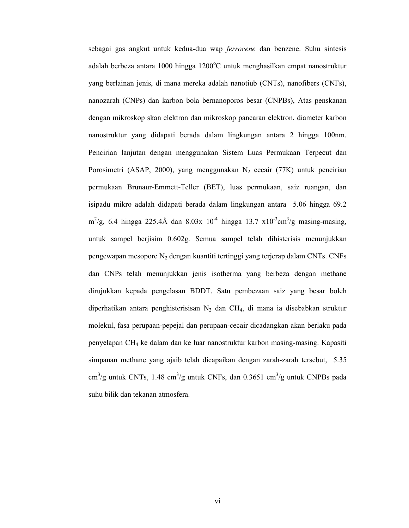sebagai gas angkut untuk kedua-dua wap ferrocene dan benzene. Suhu sintesis adalah berbeza antara 1000 hingga 1200 $^{\circ}$ C untuk menghasilkan empat nanostruktur yang berlainan jenis, di mana mereka adalah nanotiub (CNTs), nanofibers (CNFs), nanozarah (CNPs) dan karbon bola bernanoporos besar (CNPBs), Atas penskanan dengan mikroskop skan elektron dan mikroskop pancaran elektron, diameter karbon nanostruktur yang didapati berada dalam lingkungan antara 2 hingga 100nm. Pencirian lanjutan dengan menggunakan Sistem Luas Permukaan Terpecut dan Porosimetri (ASAP, 2000), yang menggunakan  $N_2$  cecair (77K) untuk pencirian permukaan Brunaur-Emmett-Teller (BET), luas permukaan, saiz ruangan, dan isipadu mikro adalah didapati berada dalam lingkungan antara 5.06 hingga 69.2  $\text{m}^2/\text{g}$ , 6.4 hingga 225.4Å dan 8.03x 10<sup>-4</sup> hingga 13.7 x10<sup>-3</sup>cm<sup>3</sup>/g masing-masing, untuk sampel berjisim 0.602g. Semua sampel telah dihisterisis menunjukkan pengewapan mesopore N2 dengan kuantiti tertinggi yang terjerap dalam CNTs. CNFs dan CNPs telah menunjukkan jenis isotherma yang berbeza dengan methane dirujukkan kepada pengelasan BDDT. Satu pembezaan saiz yang besar boleh diperhatikan antara penghisterisisan  $N_2$  dan CH<sub>4</sub>, di mana ia disebabkan struktur molekul, fasa perupaan-pepejal dan perupaan-cecair dicadangkan akan berlaku pada penyelapan CH4 ke dalam dan ke luar nanostruktur karbon masing-masing. Kapasiti simpanan methane yang ajaib telah dicapaikan dengan zarah-zarah tersebut, 5.35  $\text{cm}^3/\text{g}$  untuk CNTs, 1.48 cm<sup>3</sup>/g untuk CNFs, dan 0.3651 cm<sup>3</sup>/g untuk CNPBs pada suhu bilik dan tekanan atmosfera.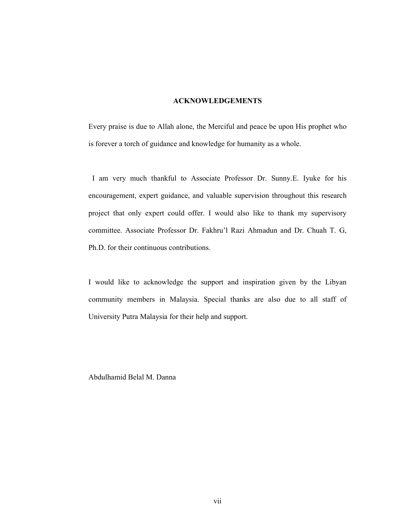## ACKNOWLEDGEMENTS

Every praise is due to Allah alone, the Merciful and peace be upon His prophet who is forever a torch of guidance and knowledge for humanity as a whole.

 I am very much thankful to Associate Professor Dr. Sunny.E. Iyuke for his encouragement, expert guidance, and valuable supervision throughout this research project that only expert could offer. I would also like to thank my supervisory committee. Associate Professor Dr. Fakhru'l Razi Ahmadun and Dr. Chuah T. G, Ph.D. for their continuous contributions.

I would like to acknowledge the support and inspiration given by the Libyan community members in Malaysia. Special thanks are also due to all staff of University Putra Malaysia for their help and support.

Abdulhamid Belal M. Danna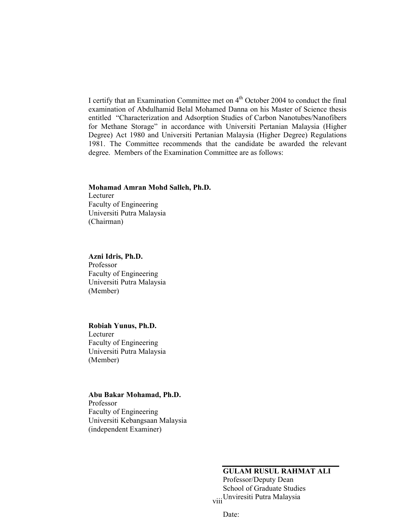I certify that an Examination Committee met on 4<sup>th</sup> October 2004 to conduct the final examination of Abdulhamid Belal Mohamed Danna on his Master of Science thesis entitled "Characterization and Adsorption Studies of Carbon Nanotubes/Nanofibers for Methane Storage" in accordance with Universiti Pertanian Malaysia (Higher Degree) Act 1980 and Universiti Pertanian Malaysia (Higher Degree) Regulations 1981. The Committee recommends that the candidate be awarded the relevant degree. Members of the Examination Committee are as follows:

## Mohamad Amran Mohd Salleh, Ph.D.

Lecturer Faculty of Engineering Universiti Putra Malaysia (Chairman)

## Azni Idris, Ph.D.

Professor Faculty of Engineering Universiti Putra Malaysia (Member)

#### Robiah Yunus, Ph.D.

Lecturer Faculty of Engineering Universiti Putra Malaysia (Member)

#### Abu Bakar Mohamad, Ph.D.

Professor Faculty of Engineering Universiti Kebangsaan Malaysia (independent Examiner)

# GULAM RUSUL RAHMAT ALI

viii Unviresiti Putra Malaysia Professor/Deputy Dean School of Graduate Studies

Date: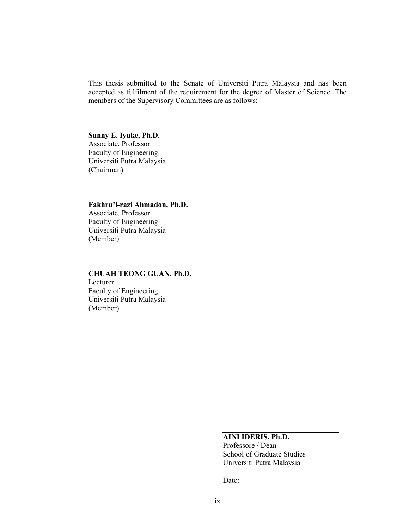This thesis submitted to the Senate of Universiti Putra Malaysia and has been accepted as fulfilment of the requirement for the degree of Master of Science. The members of the Supervisory Committees are as follows:

#### Sunny E. Iyuke, Ph.D.

Associate. Professor Faculty of Engineering Universiti Putra Malaysia (Chairman)

#### Fakhru'l-razi Ahmadon, Ph.D.

Associate. Professor Faculty of Engineering Universiti Putra Malaysia (Member)

## CHUAH TEONG GUAN, Ph.D. Lecturer Faculty of Engineering Universiti Putra Malaysia (Member)

## AINI IDERIS, Ph.D.

Professore / Dean School of Graduate Studies Universiti Putra Malaysia

Date: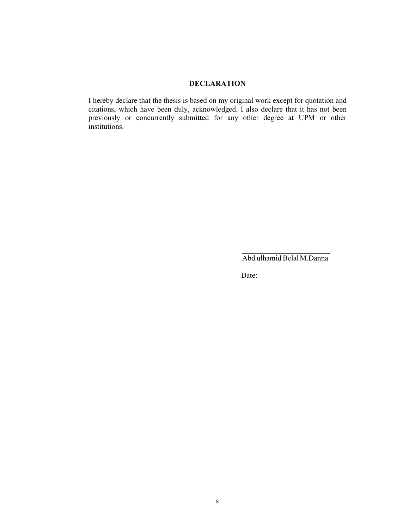#### DECLARATION

I hereby declare that the thesis is based on my original work except for quotation and citations, which have been duly, acknowledged. I also declare that it has not been previously or concurrently submitted for any other degree at UPM or other institutions.

Abd ulhamid BelalM.Danna

Date: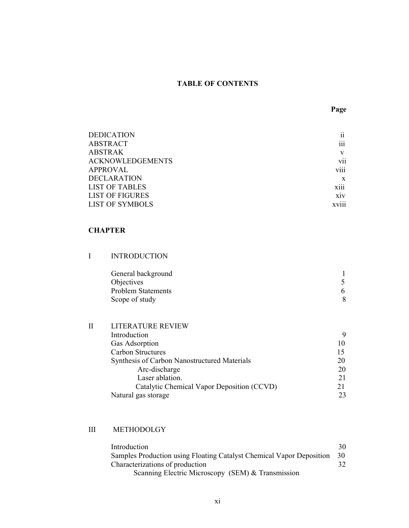## TABLE OF CONTENTS

| <b>DEDICATION</b>       | . .<br>11        |
|-------------------------|------------------|
| <b>ABSTRACT</b>         | $\cdots$<br>111  |
| <b>ABSTRAK</b>          | V                |
| <b>ACKNOWLEDGEMENTS</b> | . .<br>V11       |
| APPROVAL                | $\cdots$<br>V111 |
| <b>DECLARATION</b>      | X                |
| <b>LIST OF TABLES</b>   | $\cdots$<br>X111 |
| <b>LIST OF FIGURES</b>  | X1V              |
| <b>LIST OF SYMBOLS</b>  | <b>XV111</b>     |
|                         |                  |

#### CHAPTER

| <b>INTRODUCTION</b> |
|---------------------|
|---------------------|

| General background        |  |
|---------------------------|--|
| <b>Objectives</b>         |  |
| <b>Problem Statements</b> |  |
| Scope of study            |  |

| H | <b>LITERATURE REVIEW</b>                            |    |  |
|---|-----------------------------------------------------|----|--|
|   | Introduction                                        | 9  |  |
|   | <b>Gas Adsorption</b>                               | 10 |  |
|   | <b>Carbon Structures</b>                            |    |  |
|   | <b>Synthesis of Carbon Nanostructured Materials</b> | 20 |  |
|   | Arc-discharge                                       | 20 |  |
|   | Laser ablation.                                     | 21 |  |
|   | Catalytic Chemical Vapor Deposition (CCVD)          |    |  |
|   | Natural gas storage                                 | 23 |  |

## III METHODOLGY

| Introduction                                                         | 30 |
|----------------------------------------------------------------------|----|
| Samples Production using Floating Catalyst Chemical Vapor Deposition | 30 |
| Characterizations of production                                      |    |
| Scanning Electric Microscopy (SEM) & Transmission                    |    |